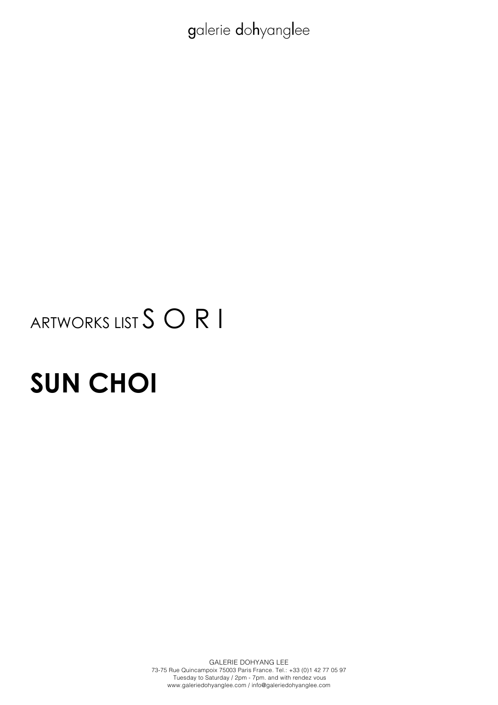# ARTWORKS LIST S O R I

# **SUN CHOI**

GALERIE DOHYANG LEE 73-75 Rue Quincampoix 75003 Paris France. Tel.: +33 (0)1 42 77 05 97 Tuesday to Saturday / 2pm - 7pm. and with rendez vous www.galeriedohyanglee.com / info@galeriedohyanglee.com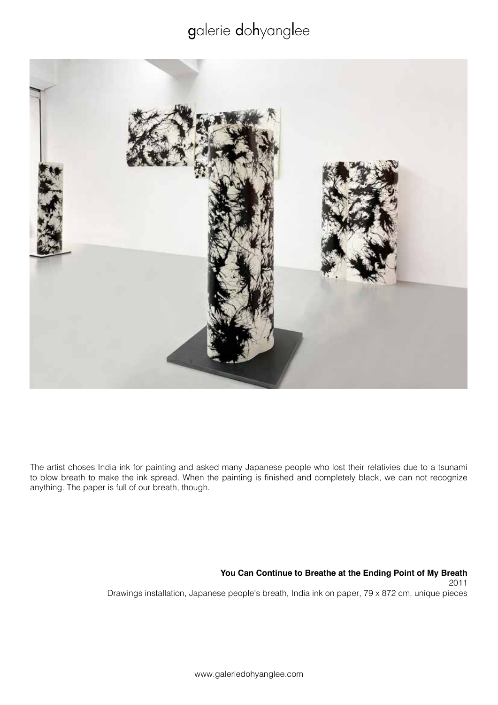

The artist choses India ink for painting and asked many Japanese people who lost their relativies due to a tsunami to blow breath to make the ink spread. When the painting is finished and completely black, we can not recognize anything. The paper is full of our breath, though.

> **You Can Continue to Breathe at the Ending Point of My Breath** 2011 Drawings installation, Japanese people's breath, India ink on paper, 79 x 872 cm, unique pieces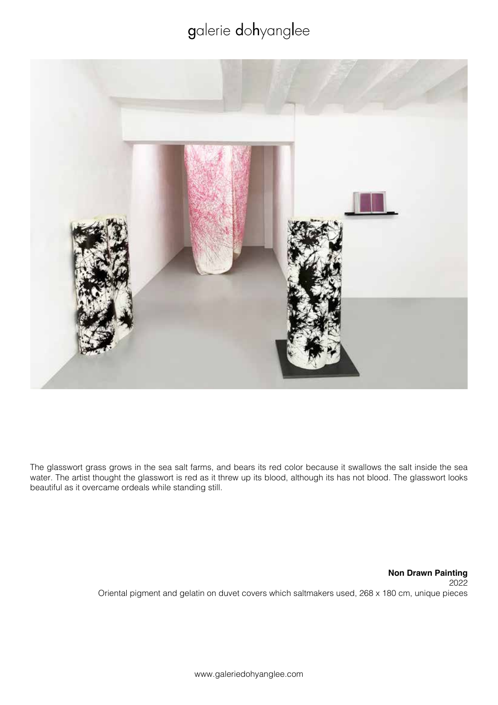

The glasswort grass grows in the sea salt farms, and bears its red color because it swallows the salt inside the sea water. The artist thought the glasswort is red as it threw up its blood, although its has not blood. The glasswort looks beautiful as it overcame ordeals while standing still.

> **Non Drawn Painting** 2022 Oriental pigment and gelatin on duvet covers which saltmakers used, 268 x 180 cm, unique pieces

> > www.galeriedohyanglee.com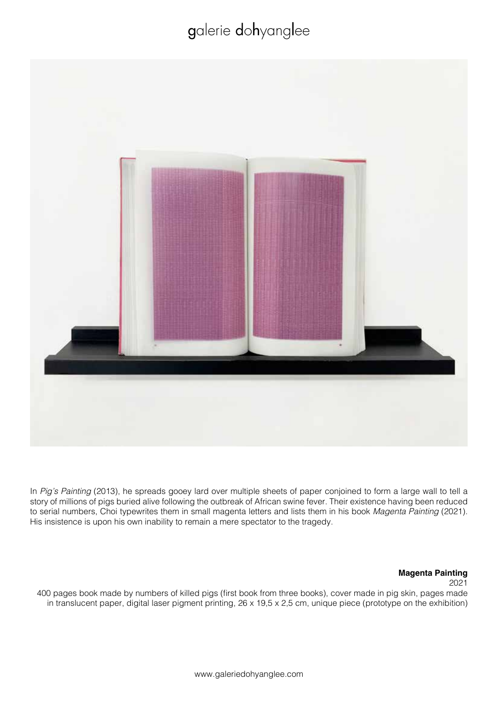

In *Pig's Painting* (2013), he spreads gooey lard over multiple sheets of paper conjoined to form a large wall to tell a story of millions of pigs buried alive following the outbreak of African swine fever. Their existence having been reduced to serial numbers, Choi typewrites them in small magenta letters and lists them in his book *Magenta Painting* (2021). His insistence is upon his own inability to remain a mere spectator to the tragedy.

#### **Magenta Painting**

2021

400 pages book made by numbers of killed pigs (first book from three books), cover made in pig skin, pages made in translucent paper, digital laser pigment printing, 26 x 19,5 x 2,5 cm, unique piece (prototype on the exhibition)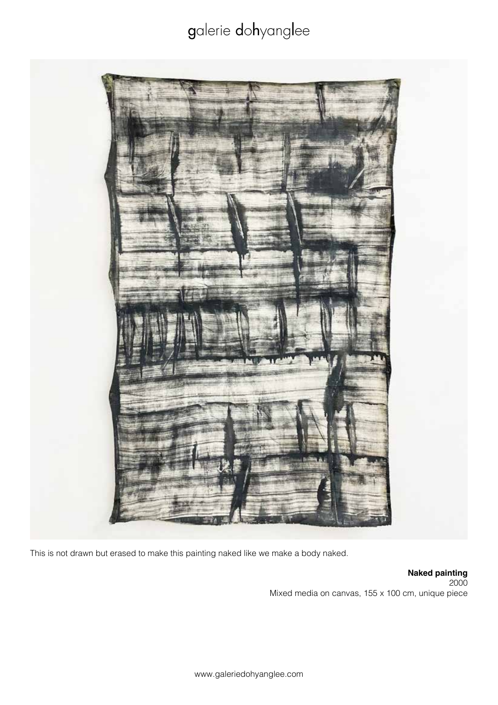

This is not drawn but erased to make this painting naked like we make a body naked.

**Naked painting** 2000 Mixed media on canvas, 155 x 100 cm, unique piece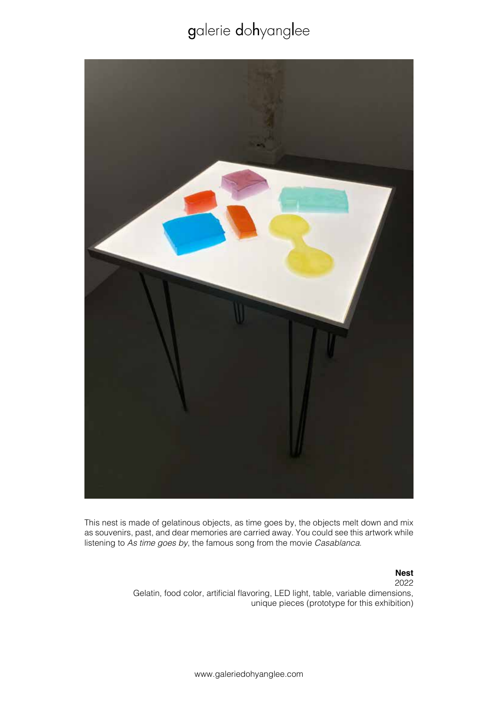

This nest is made of gelatinous objects, as time goes by, the objects melt down and mix as souvenirs, past, and dear memories are carried away. You could see this artwork while listening to *As time goes by*, the famous song from the movie *Casablanca*.

#### **Nest** 2022

Gelatin, food color, artificial flavoring, LED light, table, variable dimensions, unique pieces (prototype for this exhibition)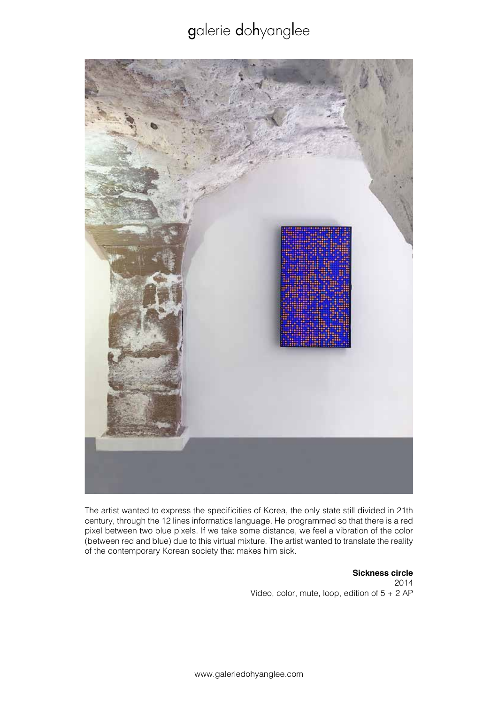

The artist wanted to express the specificities of Korea, the only state still divided in 21th century, through the 12 lines informatics language. He programmed so that there is a red pixel between two blue pixels. If we take some distance, we feel a vibration of the color (between red and blue) due to this virtual mixture. The artist wanted to translate the reality of the contemporary Korean society that makes him sick.

> **Sickness circle** 2014 Video, color, mute, loop, edition of  $5 + 2$  AP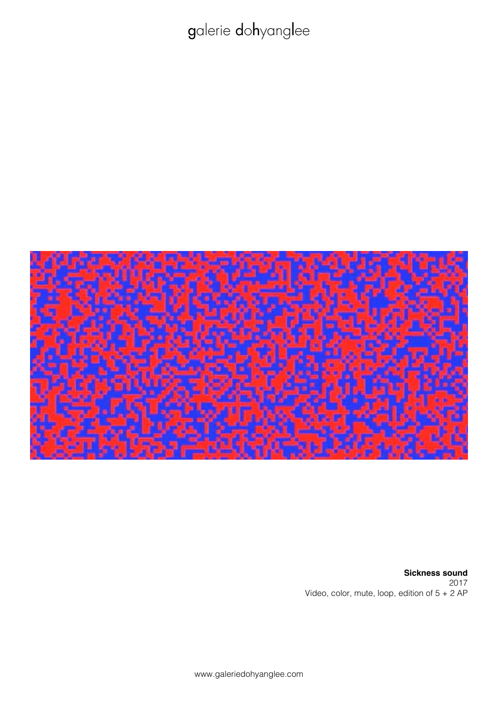

**Sickness sound** 2017 Video, color, mute, loop, edition of 5 + 2 AP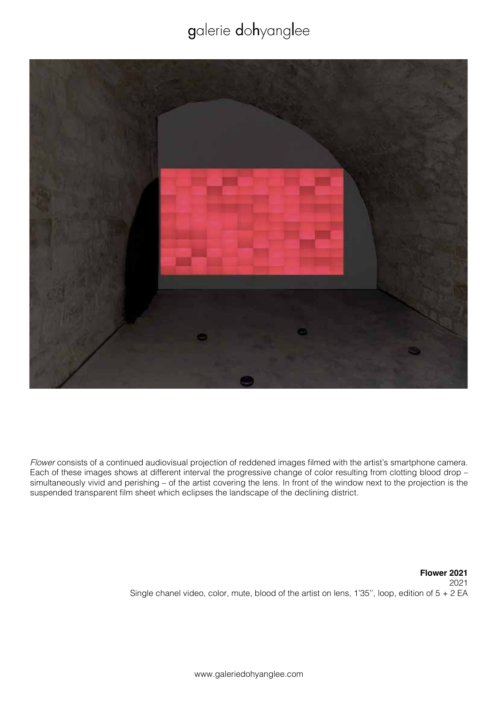

*Flower* consists of a continued audiovisual projection of reddened images filmed with the artist's smartphone camera. Each of these images shows at different interval the progressive change of color resulting from clotting blood drop – simultaneously vivid and perishing – of the artist covering the lens. In front of the window next to the projection is the suspended transparent film sheet which eclipses the landscape of the declining district.

> **Flower 2021** 2021 Single chanel video, color, mute, blood of the artist on lens, 1'35'', loop, edition of 5 + 2 EA

> > www.galeriedohyanglee.com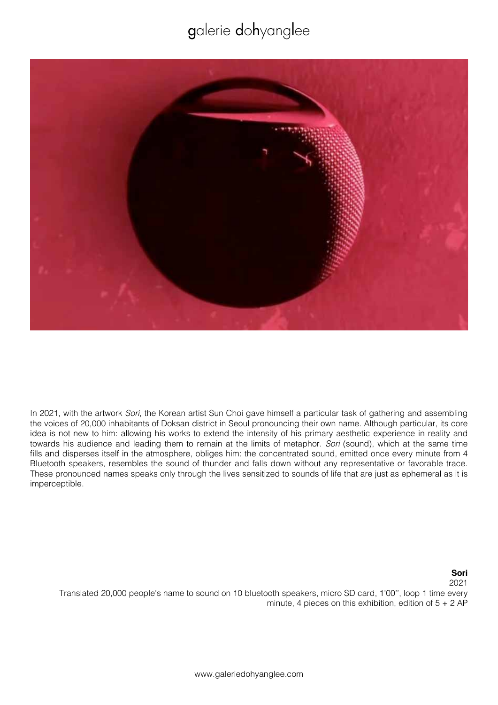![](_page_9_Picture_1.jpeg)

In 2021, with the artwork *Sori*, the Korean artist Sun Choi gave himself a particular task of gathering and assembling the voices of 20,000 inhabitants of Doksan district in Seoul pronouncing their own name. Although particular, its core idea is not new to him: allowing his works to extend the intensity of his primary aesthetic experience in reality and towards his audience and leading them to remain at the limits of metaphor. *Sori* (sound), which at the same time fills and disperses itself in the atmosphere, obliges him: the concentrated sound, emitted once every minute from 4 Bluetooth speakers, resembles the sound of thunder and falls down without any representative or favorable trace. These pronounced names speaks only through the lives sensitized to sounds of life that are just as ephemeral as it is imperceptible.

> **Sori** 2021

Translated 20,000 people's name to sound on 10 bluetooth speakers, micro SD card, 1'00'', loop 1 time every minute, 4 pieces on this exhibition, edition of  $5 + 2$  AP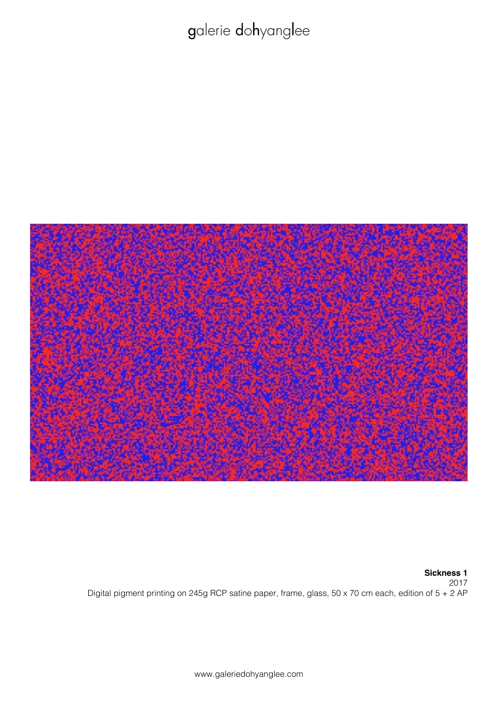![](_page_10_Picture_1.jpeg)

#### **Sickness 1** 2017

Digital pigment printing on 245g RCP satine paper, frame, glass, 50 x 70 cm each, edition of 5 + 2 AP